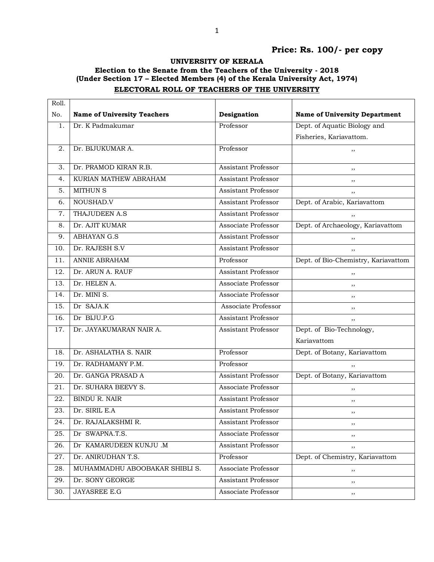## **Price: Rs. 100/- per copy**

## **UNIVERSITY OF KERALA**

## **Election to the Senate from the Teachers of the University - 2018 (Under Section 17 – Elected Members (4) of the Kerala University Act, 1974) ELECTORAL ROLL OF TEACHERS OF THE UNIVERSITY**

| Roll. |                                    |                            |                                      |
|-------|------------------------------------|----------------------------|--------------------------------------|
| No.   | <b>Name of University Teachers</b> | Designation                | <b>Name of University Department</b> |
| 1.    | Dr. K Padmakumar                   | Professor                  | Dept. of Aquatic Biology and         |
|       |                                    |                            | Fisheries, Kariavattom.              |
| 2.    | Dr. BIJUKUMAR A.                   | Professor                  | ,,                                   |
| 3.    | Dr. PRAMOD KIRAN R.B.              | Assistant Professor        |                                      |
| 4.    | KURIAN MATHEW ABRAHAM              | <b>Assistant Professor</b> | ,,                                   |
| 5.    | <b>MITHUN S</b>                    | Assistant Professor        | , ,                                  |
|       |                                    |                            | , ,                                  |
| 6.    | NOUSHAD.V                          | <b>Assistant Professor</b> | Dept. of Arabic, Kariavattom         |
| 7.    | THAJUDEEN A.S                      | <b>Assistant Professor</b> | ,,                                   |
| 8.    | Dr. AJIT KUMAR                     | Associate Professor        | Dept. of Archaeology, Kariavattom    |
| 9.    | <b>ABHAYAN G.S</b>                 | Assistant Professor        | ,,                                   |
| 10.   | Dr. RAJESH S.V                     | <b>Assistant Professor</b> | , ,                                  |
| 11.   | <b>ANNIE ABRAHAM</b>               | Professor                  | Dept. of Bio-Chemistry, Kariavattom  |
| 12.   | Dr. ARUN A. RAUF                   | <b>Assistant Professor</b> | ,,                                   |
| 13.   | Dr. HELEN A.                       | Associate Professor        | ,,                                   |
| 14.   | Dr. MINI S.                        | Associate Professor        | ,,                                   |
| 15.   | Dr SAJA.K                          | Associate Professor        | ,,                                   |
| 16.   | Dr BIJU.P.G                        | Assistant Professor        | , ,                                  |
| 17.   | Dr. JAYAKUMARAN NAIR A.            | <b>Assistant Professor</b> | Dept. of Bio-Technology,             |
|       |                                    |                            | Kariavattom                          |
| 18.   | Dr. ASHALATHA S. NAIR              | Professor                  | Dept. of Botany, Kariavattom         |
| 19.   | Dr. RADHAMANY P.M.                 | Professor                  | ,,                                   |
| 20.   | Dr. GANGA PRASAD A                 | Assistant Professor        | Dept. of Botany, Kariavattom         |
| 21.   | Dr. SUHARA BEEVY S.                | Associate Professor        | ,,                                   |
| 22.   | <b>BINDU R. NAIR</b>               | Assistant Professor        | ,,                                   |
| 23.   | Dr. SIRIL E.A                      | Assistant Professor        | ,,                                   |
| 24.   | Dr. RAJALAKSHMI R.                 | Assistant Professor        | ,,                                   |
| 25.   | Dr SWAPNA.T.S.                     | Associate Professor        | ,,                                   |
| 26.   | Dr KAMARUDEEN KUNJU .M             | Assistant Professor        | ,,                                   |
| 27.   | Dr. ANIRUDHAN T.S.                 | Professor                  | Dept. of Chemistry, Kariavattom      |
| 28.   | MUHAMMADHU ABOOBAKAR SHIBLI S.     | Associate Professor        | ,,                                   |
| 29.   | Dr. SONY GEORGE                    | Assistant Professor        | ,,                                   |
| 30.   | JAYASREE E.G                       | Associate Professor        | ,,                                   |
|       |                                    |                            |                                      |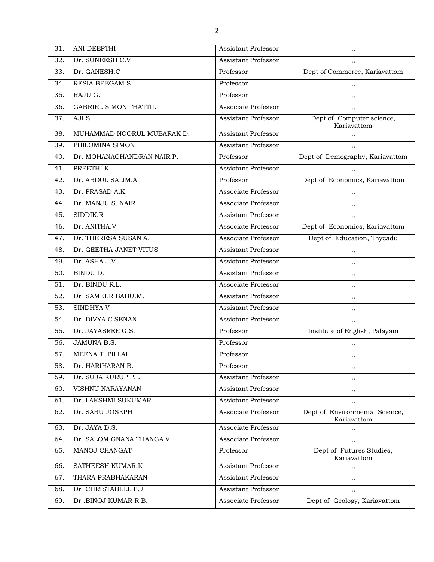| 31.               | <b>ANI DEEPTHI</b>           | <b>Assistant Professor</b> | ,,                                            |
|-------------------|------------------------------|----------------------------|-----------------------------------------------|
| 32.               | Dr. SUNEESH C.V              | <b>Assistant Professor</b> | ,,                                            |
| 33.               | Dr. GANESH.C                 | Professor                  | Dept of Commerce, Kariavattom                 |
| 34.               | RESIA BEEGAM S.              | Professor                  | ,,                                            |
| 35.               | RAJU G.                      | Professor                  | ,,                                            |
| 36.               | <b>GABRIEL SIMON THATTIL</b> | Associate Professor        | ,,                                            |
| 37.               | AJI S.                       | <b>Assistant Professor</b> | Dept of Computer science,<br>Kariavattom      |
| 38.               | MUHAMMAD NOORUL MUBARAK D.   | <b>Assistant Professor</b> | ,,                                            |
| 39.               | PHILOMINA SIMON              | <b>Assistant Professor</b> | ,,                                            |
| 40.               | Dr. MOHANACHANDRAN NAIR P.   | Professor                  | Dept of Demography, Kariavattom               |
| 41.               | PREETHI K.                   | Assistant Professor        | ,,                                            |
| 42.               | Dr. ABDUL SALIM.A            | Professor                  | Dept of Economics, Kariavattom                |
| 43.               | Dr. PRASAD A.K.              | Associate Professor        | ,,                                            |
| 44.               | Dr. MANJU S. NAIR            | Associate Professor        | ,,                                            |
| 45.               | SIDDIK.R                     | <b>Assistant Professor</b> | ,,                                            |
| 46.               | Dr. ANITHA.V                 | Associate Professor        | Dept of Economics, Kariavattom                |
| 47.               | Dr. THERESA SUSAN A.         | Associate Professor        | Dept of Education, Thycadu                    |
| 48.               | Dr. GEETHA JANET VITUS       | <b>Assistant Professor</b> | ,,                                            |
| 49.               | Dr. ASHA J.V.                | <b>Assistant Professor</b> | ,,                                            |
| 50.               | BINDU D.                     | <b>Assistant Professor</b> | ,,                                            |
| $\overline{51}$ . | Dr. BINDU R.L.               | Associate Professor        | ,,                                            |
| 52.               | Dr SAMEER BABU.M.            | Assistant Professor        | ,,                                            |
| 53.               | <b>SINDHYAV</b>              | <b>Assistant Professor</b> | ,,                                            |
| 54.               | Dr DIVYA C SENAN.            | <b>Assistant Professor</b> | ,,                                            |
| 55.               | Dr. JAYASREE G.S.            | Professor                  | Institute of English, Palayam                 |
| 56.               | <b>JAMUNA B.S.</b>           | Professor                  | ,,                                            |
| 57.               | MEENA T. PILLAI.             | Professor                  | ,,                                            |
| 58.               | Dr. HARIHARAN B.             | Professor                  | ,,                                            |
| 59.               | Dr. SUJA KURUP P.L           | Assistant Professor        | ,,                                            |
| 60.               | VISHNU NARAYANAN             | <b>Assistant Professor</b> | ,,                                            |
| 61.               | Dr. LAKSHMI SUKUMAR          | <b>Assistant Professor</b> | ,,                                            |
| 62.               | Dr. SABU JOSEPH              | Associate Professor        | Dept of Environmental Science,<br>Kariavattom |
| 63.               | Dr. JAYA D.S.                | Associate Professor        | ,,                                            |
| 64.               | Dr. SALOM GNANA THANGA V.    | Associate Professor        | ,,                                            |
| 65.               | MANOJ CHANGAT                | Professor                  | Dept of Futures Studies,<br>Kariavattom       |
| 66.               | SATHEESH KUMAR.K             | Assistant Professor        | ,,                                            |
| 67.               | THARA PRABHAKARAN            | <b>Assistant Professor</b> | ,,                                            |
| 68.               | Dr CHRISTABELL P.J           | <b>Assistant Professor</b> | ,,                                            |
| 69.               | Dr .BINOJ KUMAR R.B.         | Associate Professor        | Dept of Geology, Kariavattom                  |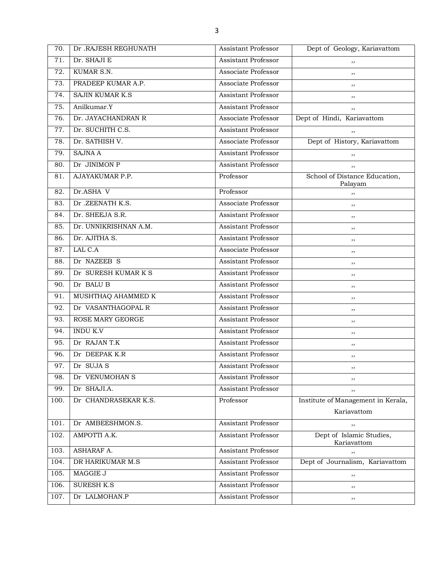| 70.  | Dr .RAJESH REGHUNATH   | <b>Assistant Professor</b> | Dept of Geology, Kariavattom             |
|------|------------------------|----------------------------|------------------------------------------|
| 71.  | Dr. SHAJI E            | <b>Assistant Professor</b> | ,,                                       |
| 72.  | KUMAR S.N.             | <b>Associate Professor</b> | ,,                                       |
| 73.  | PRADEEP KUMAR A.P.     | Associate Professor        | ,,                                       |
| 74.  | <b>SAJIN KUMAR K.S</b> | <b>Assistant Professor</b> | ,,                                       |
| 75.  | Anilkumar.Y            | <b>Assistant Professor</b> | ,,                                       |
| 76.  | Dr. JAYACHANDRAN R     | Associate Professor        | Dept of Hindi, Kariavattom               |
| 77.  | Dr. SUCHITH C.S.       | <b>Assistant Professor</b> | ,,                                       |
| 78.  | Dr. SATHISH V.         | <b>Associate Professor</b> | Dept of History, Kariavattom             |
| 79.  | <b>SAJNA A</b>         | <b>Assistant Professor</b> | ,,                                       |
| 80.  | Dr JINIMON P           | <b>Assistant Professor</b> | ,,                                       |
| 81.  | AJAYAKUMAR P.P.        | Professor                  | School of Distance Education,<br>Palayam |
| 82.  | Dr.ASHA V              | Professor                  | ,,                                       |
| 83.  | Dr.ZEENATH K.S.        | Associate Professor        | ,,                                       |
| 84.  | Dr. SHEEJA S.R.        | <b>Assistant Professor</b> | ,,                                       |
| 85.  | Dr. UNNIKRISHNAN A.M.  | <b>Assistant Professor</b> | ,,                                       |
| 86.  | Dr. AJITHA S.          | <b>Assistant Professor</b> | ,,                                       |
| 87.  | LAL C.A                | Associate Professor        | ,,                                       |
| 88.  | Dr NAZEEB S            | <b>Assistant Professor</b> | ,,                                       |
| 89.  | Dr SURESH KUMAR K S    | <b>Assistant Professor</b> | ,,                                       |
| 90.  | Dr BALU B              | <b>Assistant Professor</b> | ,,                                       |
| 91.  | MUSHTHAQ AHAMMED K     | <b>Assistant Professor</b> | ,,                                       |
| 92.  | Dr VASANTHAGOPAL R     | <b>Assistant Professor</b> | ,,                                       |
| 93.  | ROSE MARY GEORGE       | <b>Assistant Professor</b> | ,,                                       |
| 94.  | <b>INDU K.V</b>        | <b>Assistant Professor</b> | ,,                                       |
| 95.  | Dr RAJAN T.K           | <b>Assistant Professor</b> | ,,                                       |
| 96.  | Dr DEEPAK K.R          | <b>Assistant Professor</b> | ,,                                       |
| 97.  | Dr SUJA S              | <b>Assistant Professor</b> | ,,                                       |
| 98.  | Dr VENUMOHAN S         | <b>Assistant Professor</b> | ,,                                       |
| 99.  | Dr SHAJI.A.            | <b>Assistant Professor</b> | ,,                                       |
| 100. | Dr CHANDRASEKAR K.S.   | Professor                  | Institute of Management in Kerala,       |
|      |                        |                            | Kariavattom                              |
| 101. | Dr AMBEESHMON.S.       | Assistant Professor        | ,,                                       |
| 102. | AMPOTTI A.K.           | <b>Assistant Professor</b> | Dept of Islamic Studies,<br>Kariavattom  |
| 103. | ASHARAF A.             | <b>Assistant Professor</b> | ,,                                       |
| 104. | DR HARIKUMAR M.S       | <b>Assistant Professor</b> | Dept of Journalism, Kariavattom          |
| 105. | MAGGIE J               | <b>Assistant Professor</b> | ,,                                       |
| 106. | <b>SURESH K.S</b>      | Assistant Professor        | $, \,$                                   |
| 107. | Dr LALMOHAN.P          | Assistant Professor        | $, \,$                                   |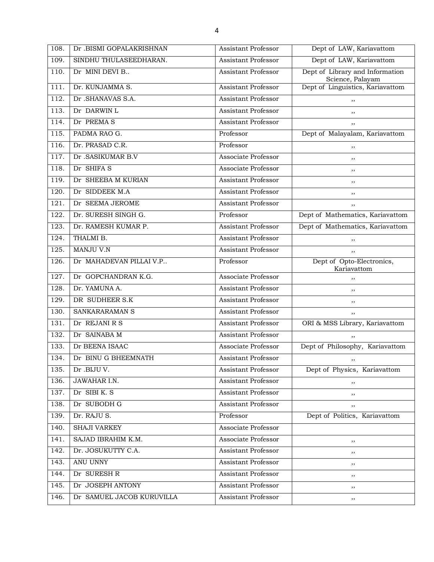| 108. | Dr .BISMI GOPALAKRISHNAN  | Assistant Professor        | Dept of LAW, Kariavattom                            |
|------|---------------------------|----------------------------|-----------------------------------------------------|
| 109. | SINDHU THULASEEDHARAN.    | Assistant Professor        | Dept of LAW, Kariavattom                            |
| 110. | Dr MINI DEVI B            | Assistant Professor        | Dept of Library and Information<br>Science, Palayam |
| 111. | Dr. KUNJAMMA S.           | <b>Assistant Professor</b> | Dept of Linguistics, Kariavattom                    |
| 112. | Dr .SHANAVAS S.A.         | <b>Assistant Professor</b> | ,,                                                  |
| 113. | Dr DARWIN L               | <b>Assistant Professor</b> | ,,                                                  |
| 114. | Dr PREMAS                 | <b>Assistant Professor</b> | ,,                                                  |
| 115. | PADMA RAO G.              | Professor                  | Dept of Malayalam, Kariavattom                      |
| 116. | Dr. PRASAD C.R.           | Professor                  | ,,                                                  |
| 117. | Dr .SASIKUMAR B.V         | Associate Professor        | ,,                                                  |
| 118. | Dr SHIFA S                | Associate Professor        | ,,                                                  |
| 119. | Dr SHEEBA M KURIAN        | <b>Assistant Professor</b> | $, \,$                                              |
| 120. | Dr SIDDEEK M.A            | <b>Assistant Professor</b> | ,,                                                  |
| 121. | Dr SEEMA JEROME           | <b>Assistant Professor</b> | ,,                                                  |
| 122. | Dr. SURESH SINGH G.       | Professor                  | Dept of Mathematics, Kariavattom                    |
| 123. | Dr. RAMESH KUMAR P.       | <b>Assistant Professor</b> | Dept of Mathematics, Kariavattom                    |
| 124. | THALMI B.                 | Assistant Professor        | ,,                                                  |
| 125. | MANJU V.N                 | <b>Assistant Professor</b> | ,,                                                  |
| 126. | Dr MAHADEVAN PILLAI V.P   | Professor                  | Dept of Opto-Electronics,<br>Kariavattom            |
| 127. | Dr GOPCHANDRAN K.G.       | Associate Professor        | ,,                                                  |
| 128. | Dr. YAMUNA A.             | <b>Assistant Professor</b> | ,,                                                  |
| 129. | DR SUDHEER S.K            | <b>Assistant Professor</b> | ,,                                                  |
| 130. | SANKARARAMAN S            | Assistant Professor        | ,,                                                  |
| 131. | Dr REJANI R S             | <b>Assistant Professor</b> | ORI & MSS Library, Kariavattom                      |
| 132. | Dr SAINABA M              | Assistant Professor        | ,,                                                  |
| 133. | Dr BEENA ISAAC            | Associate Professor        | Dept of Philosophy, Kariavattom                     |
| 134. | Dr BINU G BHEEMNATH       | <b>Assistant Professor</b> | , ,                                                 |
| 135. | Dr .BIJU V.               | Assistant Professor        | Dept of Physics, Kariavattom                        |
| 136. | <b>JAWAHAR I.N.</b>       | <b>Assistant Professor</b> | ,,                                                  |
| 137. | Dr SIBI K. S              | <b>Assistant Professor</b> | ,,                                                  |
| 138. | Dr SUBODH G               | <b>Assistant Professor</b> | ,,                                                  |
| 139. | Dr. RAJU S.               | Professor                  | Dept of Politics, Kariavattom                       |
| 140. | <b>SHAJI VARKEY</b>       | Associate Professor        |                                                     |
| 141. | SAJAD IBRAHIM K.M.        | Associate Professor        | ,,                                                  |
| 142. | Dr. JOSUKUTTY C.A.        | Assistant Professor        | ,,                                                  |
| 143. | ANU UNNY                  | Assistant Professor        | $, \,$                                              |
| 144. | Dr SURESH R               | <b>Assistant Professor</b> | $, \,$                                              |
| 145. | Dr JOSEPH ANTONY          | <b>Assistant Professor</b> | $, \,$                                              |
| 146. | Dr SAMUEL JACOB KURUVILLA | Assistant Professor        | ,,                                                  |